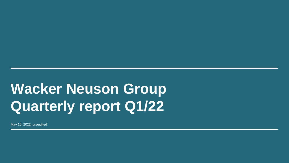# **Wacker Neuson Group Quarterly report Q1/22**

May 10, 2022, unaudited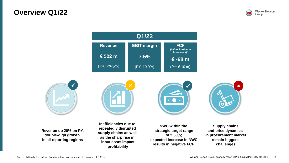### **Overview Q1/22**







**Revenue up 20% on PY, double-digit growth in all reporting regions**



**Inefficiencies due to repeatedly disrupted supply chains as well as the sharp rise in input costs impact profitability**





**NWC within the strategic target range of ≤ 30%; expected increase in NWC results in negative FCF** 

**Supply chains and price dynamics in procurement market remain biggest challenges**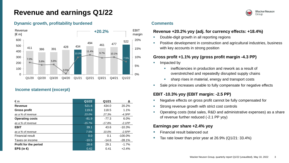# **Revenue and earnings Q1/22**



#### **Dynamic growth, profitability burdened**



#### **Income statement (excerpt)**

| € m                    | Q1/22    | Q1/21    | Δ          |
|------------------------|----------|----------|------------|
| Revenue                | 521.6    | 434.0    | 20.2%      |
| <b>Gross profit</b>    | 119.8    | 118.5    | 1.1%       |
| as a % of revenue      | 23.0%    | 27.3%    | $-4.3PP$   |
| <b>Operating costs</b> | $-81.9$  | $-77.3$  | 6.0%       |
| as a % of revenue      | $-15.7%$ | $-17.8%$ | $-2.1PP$   |
| <b>EBIT</b>            | 39.1     | 43.6     | $-10.3%$   |
| as a % of revenue      | 7.5%     | 10.0%    | $-2.5PP$   |
| Financial result       | 0.0      | 0.1      | $-100.0\%$ |
| Taxes on income        | $-10.5$  | $-14.6$  | $-28.1%$   |
| Profit for the period  | 28.6     | 29.1     | $-1.7%$    |
| EPS (in €)             | 0.42     | 0.41     | $+2.4%$    |

#### **Comments**

#### **Revenue +20.2% yoy (adj. for currency effects: +18.4%)**

- Double-digit growth in all reporting regions
- Positive development in construction and agricultural industries, business with key accounts in strong position

### **Gross profit +1.1% yoy (gross profit margin -4.3 PP)**

- Impacted by
	- inefficiencies in production and rework as a result of overstretched and repeatedly disrupted supply chains
	- **EXECT** sharp rises in material, energy and transport costs
- Sale price increases unable to fully compensate for negative effects

### **EBIT -10.3% yoy (EBIT margin: -2.5 PP)**

- Negative effects on gross profit cannot be fully compensated for
- Strong revenue growth with strict cost controls
- Operating costs (total sales, R&D and administrative expenses) as a share of revenue further reduced (-2.1 PP yoy)

#### **Earnings per share +2.4% yoy**

- **Financial result balanced out**
- Tax rate lower than prior year at  $26.9\%$  (Q1/21: 33.4%)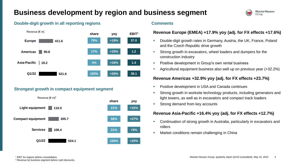# **Business development by region and business segment**





### **Strongest growth in compact equipment segment**



#### **Double-digit growth in all reporting regions Theorem 2013 Comments**

### **Revenue Europe (EMEA) +17.9% yoy (adj. for FX effects +17.6%)**

- Double-digit growth rates in Germany, Austria, the UK, France, Poland and the Czech Republic drive growth
- **EXECT** Strong growth in excavators, wheel loaders and dumpers for the construction industry
- Positive development in Group's own rental business
- Agricultural equipment business also well up on previous year (+32.2%)

### **Revenue Americas +32.9% yoy (adj. for FX effects +23.7%)**

- Positive development in USA and Canada continues
- Strong growth in worksite technology products, including generators and light towers, as well as in excavators and compact track loaders
- Strong demand from key accounts

### **Revenue Asia-Pacific +16.4% yoy (adj. for FX effects +12.7%)**

- Continuation of strong growth in Australia, particularly in excavators and rollers
- Market conditions remain challenging in China

<sup>1</sup> EBIT for regions before consolidation.

<sup>2</sup> Revenue by business segment before cash discounts.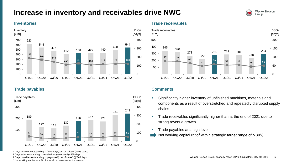# **Increase in inventory and receivables drive NWC**



#### **Inventories**

![](_page_4_Figure_3.jpeg)

**Trade payables**

![](_page_4_Figure_5.jpeg)

#### **Trade receivables**

![](_page_4_Figure_7.jpeg)

#### **Comments**

- **EXEDENT** Significantly higher inventory of unfinished machines, materials and components as a result of overstretched and repeatedly disrupted supply chains
- **EXECT** Trade receivables significantly higher than at the end of 2021 due to strong revenue growth
- **Trade payables at a high level**
- Net working capital ratio<sup>4</sup> within strategic target range of ≤ 30%

- Days sales outstanding = (receivables/(revenue\*4))\*365 days;
- Days payables outstanding = (payables/(cost of sales\*4))\*365 days.

Net working capital as a % of annualized revenue for the quarter.

<sup>&</sup>lt;sup>1</sup> Days inventory outstanding = (inventory/(cost of sales\*4))\*365 days;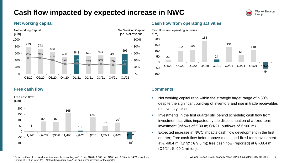# **Cash flow impacted by expected increase in NWC**

![](_page_5_Picture_1.jpeg)

#### **Net working capital**

![](_page_5_Figure_3.jpeg)

#### **Free cash flow**

Free cash flow  $[6 \text{ m}]$ 

![](_page_5_Figure_6.jpeg)

### **Cash flow from operating activities**

![](_page_5_Figure_8.jpeg)

#### **Comments**

- Net working capital ratio within the strategic target range of  $\leq$  30% despite the significant build-up of inventory and rise in trade receivables relative to year-end
- Investments in the first quarter still behind schedule; cash flow from investment activities impacted by the discontinuation of a fixed-term investment (inflows of € 30 m; Q1/21: outflows of € 100 m)
- Expected increase in NWC impacts cash flow development in the first quarter; Free cash flow before above-mentioned fixed-term investment at € -68.4 m (Q1/21: € 9.8 m); free cash flow (reported) at  $∈$  -38.4 m  $(Q1/21: € -90.2$  million).

<sup>1</sup> Before outflows from fixed-term investments amounting to € 15 m in Q4/20, € 100 m in Q1/21 and € 15 m in Q4/21 as well as inflows of € 30 m in Q1/22. <sup>2</sup> Net working capital as a % of annualized revenue for the quarter.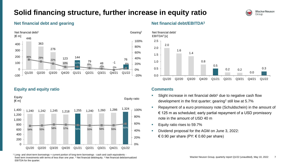# **Solid financing structure, further increase in equity ratio**

![](_page_6_Picture_1.jpeg)

#### **Net financial debt and gearing**

![](_page_6_Figure_3.jpeg)

**Equity and equity ratio**

![](_page_6_Figure_5.jpeg)

<sup>1</sup> Long- and short-term borrowings + current portion of long-term borrowings - cash and cash equivalents fixed term investments with terms of less than one year. <sup>2</sup> Net financial debt/equity. <sup>3</sup> Net financial debt/annualized EBITDA for the quarter.

### **Net financial debt/EBITDA<sup>3</sup>**

![](_page_6_Figure_8.jpeg)

#### **Comments**

- Slight increase in net financial debt<sup>1</sup> due to negative cash flow development in the first quarter; gearing<sup>2</sup> still low at 5.7%
- Repayment of a euro promissory note (Schuldschein) in the amount of  $\epsilon$  125 m as scheduled; early partial repayment of a USD promissory note in the amount of USD 40 m
- Equity ratio rises to 59.7%
- Dividend proposal for the AGM on June 3, 2022: € 0.90 per share (PY:  $€$  0.60 per share)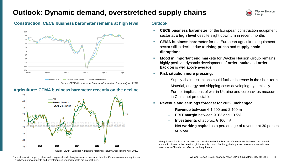### **Outlook: Dynamic demand, overstretched supply chains**

![](_page_7_Picture_1.jpeg)

#### **Construction: CECE business barometer remains at high level**

![](_page_7_Figure_3.jpeg)

Source: CECE (Committee for European Construction Equipment), April 2022.

### **Agriculture: CEMA business barometer recently on the decline**

![](_page_7_Figure_6.jpeg)

Source: CEMA (European Agricultural Machinery Industry Association), April 2022.

1 Investments in property, plant and equipment and intangible assets. Investments in the Group's own rental equipment, purchases of investments and investments in financial assets are not included.

#### **Outlook**

- **CECE business barometer** for the European construction equipment sector **at a high level** despite slight downturn in recent months
- **CEMA business barometer** for the European agricultural equipment sector still in decline due to **rising prices** and **supply chain disruptions**.
- **Mood in important end markets** for Wacker Neuson Group remains highly positive; dynamic development of **order intake** and **order backlog** is well above average.
- **Risk situation more pressing:** 
	- Supply chain disruptions could further increase in the short-term
	- Material, energy and shipping costs developing dynamically
	- Further implications of war in Ukraine and coronavirus measures in China not predictable
- **Revenue and earnings forecast for 2022 unchanged** 
	- − **Revenue** between € 1,900 and 2,100 m
	- − **EBIT margin** between 9.0% and 10.5%
	- − **Investments** of approx. € 100 m<sup>1</sup>
	- **Net working capital** as a percentage of revenue at 30 percent or lower

The guidance for fiscal 2022 does not consider further implications of the war in Ukraine on the general economic climate or the health of global supply chains. Similarly, the impact of coronavirus containment measures in China is not reflected in the guidance.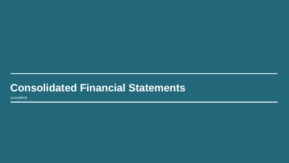# **Consolidated Financial Statements**

(unaudited)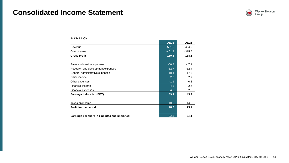# **Consolidated Income Statement**

![](_page_9_Picture_1.jpeg)

|                                                 | Q1/22    | Q1/21    |
|-------------------------------------------------|----------|----------|
| Revenue                                         | 521.6    | 434.0    |
| Cost of sales                                   | $-401.8$ | $-315.5$ |
| <b>Gross profit</b>                             | 119.8    | 118.5    |
| Sales and service expenses                      | $-50.8$  | $-47.1$  |
| Research and development expenses               | $-12.7$  | $-12.4$  |
| General administrative expenses                 | $-18.4$  | $-17.8$  |
| Other income                                    | 2.3      | 2.7      |
| Other expenses                                  | $-1.1$   | $-0.3$   |
| Financial income                                | 4.5      | 2.7      |
| Financial expenses                              | $-4.5$   | $-2.6$   |
| Earnings before tax (EBT)                       | 39.1     | 43.7     |
| Taxes on income                                 | $-10.5$  | $-14.6$  |
| <b>Profit for the period</b>                    | 28.6     | 29.1     |
| Earnings per share in € (diluted and undiluted) | 0.42     | 0.41     |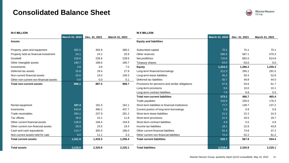## **Consolidated Balance Sheet**

![](_page_10_Picture_1.jpeg)

| <b>IN € MILLION</b>                    |                       |               |                | <b>IN € MILLION</b>                              |                |               |                |
|----------------------------------------|-----------------------|---------------|----------------|--------------------------------------------------|----------------|---------------|----------------|
|                                        | <b>March 31, 2022</b> | Dec. 31, 2021 | March 31, 2021 |                                                  | March 31, 2022 | Dec. 31, 2021 | March 31, 2021 |
| <b>Assets</b>                          |                       |               |                | <b>Equity and liabilities</b>                    |                |               |                |
| Property, plant and equipment          | 392.5                 | 393.9         | 389.2          | Subscribed capital                               | 70.1           | 70.1          | 70.1           |
| Property held as financial investment  | 24.1                  | 24.2          | 25.9           | Other reserves                                   | 596.5          | 587.1         | 570.3          |
| Goodwill                               | 228.6                 | 228.6         | 228.6          | Net profit/loss                                  | 710.6          | 682.0         | 614.9          |
| Other intangible assets                | 190.7                 | 188.6         | 180.7          | Treasury shares                                  | $-53.0$        | $-53.0$       | 0.0            |
| Investments                            | 3.8                   | 3.8           | 7.0            | <b>Equity</b>                                    | 1,324.2        | 1,286.2       | 1,255.3        |
| Deferred tax assets                    | 25.8                  | 29.4          | 27.9           | Long-term financial borrowings                   | 212.3          | 295.1         | 291.5          |
| Non-current financial assets           | 20.6                  | 19.0          | 109.3          | Long-term lease liabilities                      | 45.3           | 50.4          | 52.6           |
| Other non-current non-financial assets | 0.0                   | 0.0           | 0.1            | Deferred tax liabilities                         | 50.7           | 49.8          | 44.0           |
| <b>Total non-current assets</b>        | 886.1                 | 887.5         | 968.7          | Provisions for pensions and similar obligations  | 47.6           | 54.6          | 61.7           |
|                                        |                       |               |                | Long-term provisions                             | 9.6            | 10.0          | 10.1           |
|                                        |                       |               |                | Long-term contract liabilities                   | 7.6            | 6.8           | 5.5            |
|                                        |                       |               |                | <b>Total non-current liabilities</b>             | 373.1          | 466.7         | 465.4          |
|                                        |                       |               |                | Trade payables                                   | 242.6          | 230.5         | 176.2          |
| Rental equipment                       | 187.4                 | 191.6         | 162.1          | Short-term liabilities to financial institutions | 77.7           | 138.7         | 137.2          |
| Inventories                            | 543.8                 | 490.2         | 437.7          | Current portion of long-term borrowings          | 0.8            | 0.9           | 0.9            |
| Trade receivables                      | 294.1                 | 237.9         | 281.2          | Short-term lease liabilities                     | 21.4           | 22.2          | 24.3           |
| Tax offsets                            | 26.0                  | 15.1          | 11.8           | Short-term provisions                            | 21.5           | 20.5          | 18.7           |
| Other current financial assets         | 128.0                 | 158.4         | 154.9          | Short-term contract liabilities                  | 4.8            | 5.5           | 4.9            |
| Other current non-financial assets     | 28.9                  | 23.5          | 19.4           | Income tax liabilities                           | 18.1           | 22.8          | 43.8           |
| Cash and cash equivalents              | 114.7                 | 305.5         | 186.0          | Other current financial liabilities              | 61.4           | 74.6          | 37.2           |
| Non-current assets held for sale       | 9.0                   | 11.1          | 3.3            | Other current non-financial liabilities          | 72.4           | 52.2          | 61.2           |
| <b>Total current assets</b>            | 1,331.9               | 1,433.3       | 1,256.4        | <b>Total current liabilities</b>                 | 520.7          | 567.9         | 504.4          |
| <b>Total assets</b>                    | 2,218.0               | 2,320.8       | 2,225.1        | <b>Total liabilities</b>                         | 2,218.0        | 2,320.8       | 2,225.1        |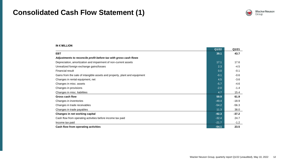## **Consolidated Cash Flow Statement (1)**

![](_page_11_Picture_1.jpeg)

|                                                                            | Q1/22   | Q1/21   |
|----------------------------------------------------------------------------|---------|---------|
| <b>EBT</b>                                                                 | 39.1    | 43.7    |
| Adjustments to reconcile profit before tax with gross cash flows           |         |         |
| Depreciation, amortization and impairment of non-current assets            | 17.1    | 17.6    |
| Unrealized foreign exchange gains/losses                                   | 2.3     | $-4.5$  |
| <b>Financial result</b>                                                    | 0.0     | $-0.1$  |
| Gains from the sale of intangible assets and property, plant and equipment | $-0.1$  | $-0.6$  |
| Changes in rental equipment, net                                           | 4.5     | $-3.6$  |
| Changes in misc. assets                                                    | $-5.7$  | $-4.6$  |
| Changes in provisions                                                      | $-2.0$  | $-1.4$  |
| Changes in misc. liabilities                                               | 4.7     | 15.4    |
| <b>Gross cash flow</b>                                                     | 59.9    | 61.9    |
| Changes in inventories                                                     | $-49.4$ | $-18.9$ |
| Changes in trade receivables                                               | $-54.2$ | $-56.3$ |
| Changes in trade payables                                                  | 11.3    | 38.0    |
| Changes in net working capital                                             | $-92.3$ | $-37.2$ |
| Cash flow from operating activities before income tax paid                 | $-32.4$ | 24.7    |
| Income tax paid                                                            | $-21.7$ | $-1.2$  |
| Cash flow from operating activities                                        | $-54.1$ | 23.5    |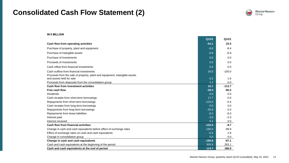## **Consolidated Cash Flow Statement (2)**

![](_page_12_Picture_1.jpeg)

|                                                                            | Q1/22    | Q1/21    |
|----------------------------------------------------------------------------|----------|----------|
| Cash flow from operating activities                                        | $-54.1$  | 23.5     |
| Purchase of property, plant and equipment                                  | $-9.8$   | $-8.4$   |
| Purchase of intangible assets                                              | $-6.8$   | $-6.9$   |
| Purchase of investments                                                    | 0.0      | 0.0      |
| Proceeds of investments                                                    | 0.0      | 0.0      |
| Cash inflow from financial investments                                     | 0.0      | 0.0      |
| Cash outflow from financial investments                                    | 30.0     | $-100.0$ |
| Proceeds from the sale of property, plant and equipment, intangible assets |          |          |
| and assets held for sale                                                   | 0.2      | 1.6      |
| Proceeds from disposals from the consolidation group                       | 2.1      | 0.0      |
| <b>Cash flow from investment activities</b>                                | 15.7     | $-113.7$ |
| Free cash flow                                                             | $-38.4$  | $-90.2$  |
| <b>Dividends</b>                                                           | 0.0      | 0.0      |
| Cash receipts from short-term borrowings                                   | 17.7     | 0.0      |
| Repayments from short-term borrowings                                      | $-125.0$ | $-0.4$   |
| Cash receipts from long-term borrowings                                    | 0.0      | 0.0      |
| Repayments from long-term borrowings                                       | $-35.6$  | 0.0      |
| Repayments from lease liabilities                                          | $-6.2$   | $-6.0$   |
| Interest paid                                                              | $-3.0$   | $-3.3$   |
| Interest received                                                          | 0.1      | 0.0      |
| <b>Cash flow from financial activities</b>                                 | $-152.0$ | $-9.7$   |
| Change in cash and cash equivalents before effect of exchange rates        | $-190.4$ | $-99.9$  |
| Effect of exchange rates on cash and cash equivalents                      | $-0.4$   | 2.8      |
| Change in consolidation group                                              | 0.0      | 0.0      |
| Change in cash and cash equivalents                                        | $-190.8$ | $-97.1$  |
| Cash and cash equivalents at the beginning of the period                   | 305.5    | 283.1    |
| Cash and cash equivalents at the end of period                             | 114.7    | 186.0    |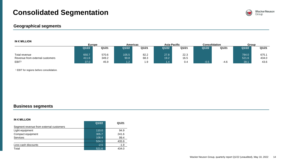# **Consolidated Segmentation**

#### **Geographical segments**

#### **IN € MILLION**

|                                 | <b>Europe</b> |       | <b>Americas</b> |       | Asia-Pacific |       | <b>Consolidation</b> |        | Group |       |
|---------------------------------|---------------|-------|-----------------|-------|--------------|-------|----------------------|--------|-------|-------|
|                                 | Q1/22         | Q1/21 | Q1/22           | Q1/21 | Q1/22        | Q1/21 | Q1/22                | Q1/21  | Q1/22 | Q1/21 |
|                                 |               |       |                 |       |              |       |                      |        |       |       |
| Total revenue                   | 650.7         | 570.6 | 105.5           | 82.2  | 27.8         | 22.3  |                      |        | 784.0 | 675.1 |
| Revenue from external customers | 411.6         | 349.2 | 90.8            | 68.3  | 19.2         | 16.5  |                      |        | 521.6 | 434.0 |
| EBIT <sup>1</sup>               | 37.0          | 45.9  | 1.2             | - 0   |              | 0.4   | $-0.5$               | $-4.6$ | 39.1  | 43.6  |

<sup>1</sup> EBIT for regions before consolidation.

#### **Business segments**

|                                         | Q1/22  | Q1/21  |
|-----------------------------------------|--------|--------|
| Segment revenue from external customers |        |        |
| Light equipment                         | 110.0  | 94.9   |
| Compact equipment                       | 305.7  | 241.6  |
| <b>Services</b>                         | 108.4  | 99.4   |
|                                         | 524.1  | 435.9  |
| Less cash discounts                     | $-2.5$ | $-1.9$ |
| Total                                   | 521.6  | 434.0  |

![](_page_13_Picture_9.jpeg)